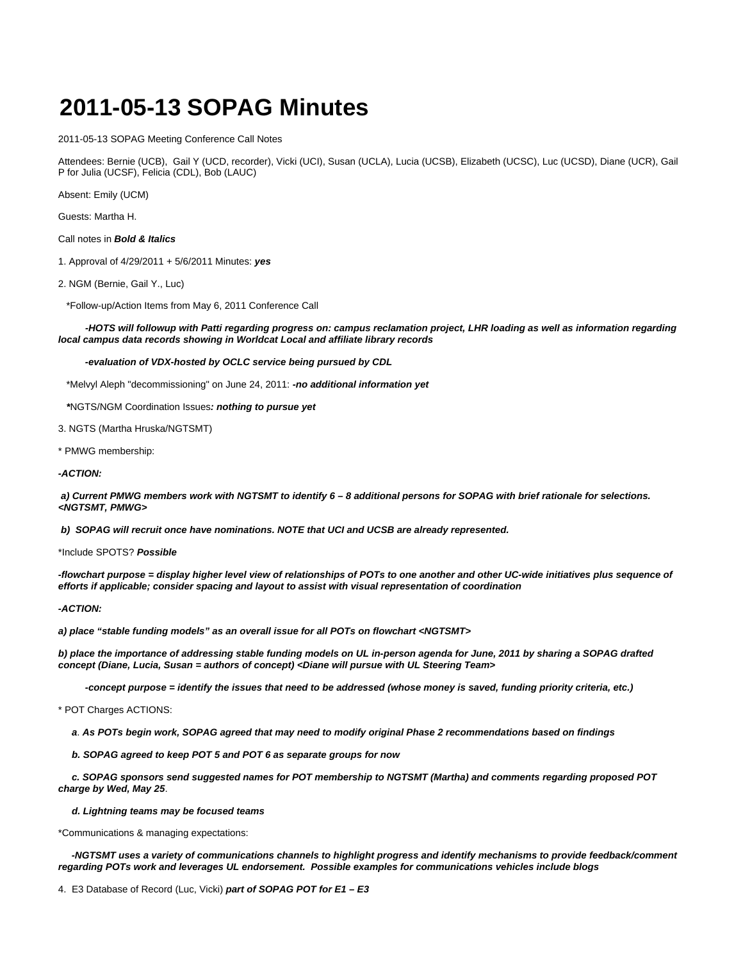## **2011-05-13 SOPAG Minutes**

2011-05-13 SOPAG Meeting Conference Call Notes

Attendees: Bernie (UCB), Gail Y (UCD, recorder), Vicki (UCI), Susan (UCLA), Lucia (UCSB), Elizabeth (UCSC), Luc (UCSD), Diane (UCR), Gail P for Julia (UCSF), Felicia (CDL), Bob (LAUC)

Absent: Emily (UCM)

Guests: Martha H.

Call notes in **Bold & Italics**

1. Approval of 4/29/2011 + 5/6/2011 Minutes: **yes**

2. NGM (Bernie, Gail Y., Luc)

\*Follow-up/Action Items from May 6, 2011 Conference Call

 **-HOTS will followup with Patti regarding progress on: campus reclamation project, LHR loading as well as information regarding local campus data records showing in Worldcat Local and affiliate library records**

 **-evaluation of VDX-hosted by OCLC service being pursued by CDL**

\*Melvyl Aleph "decommissioning" on June 24, 2011: **-no additional information yet**

**\***NGTS/NGM Coordination Issues**: nothing to pursue yet**

3. NGTS (Martha Hruska/NGTSMT)

\* PMWG membership:

**-ACTION:**

 **a) Current PMWG members work with NGTSMT to identify 6 – 8 additional persons for SOPAG with brief rationale for selections. <NGTSMT, PMWG>**

 **b) SOPAG will recruit once have nominations. NOTE that UCI and UCSB are already represented.**

\*Include SPOTS? **Possible**

**-flowchart purpose = display higher level view of relationships of POTs to one another and other UC-wide initiatives plus sequence of efforts if applicable; consider spacing and layout to assist with visual representation of coordination**

**-ACTION:**

**a) place "stable funding models" as an overall issue for all POTs on flowchart <NGTSMT>**

**b) place the importance of addressing stable funding models on UL in-person agenda for June, 2011 by sharing a SOPAG drafted concept (Diane, Lucia, Susan = authors of concept) <Diane will pursue with UL Steering Team>**

 **-concept purpose = identify the issues that need to be addressed (whose money is saved, funding priority criteria, etc.)**

\* POT Charges ACTIONS:

**a**. **As POTs begin work, SOPAG agreed that may need to modify original Phase 2 recommendations based on findings**

**b. SOPAG agreed to keep POT 5 and POT 6 as separate groups for now**

 **c. SOPAG sponsors send suggested names for POT membership to NGTSMT (Martha) and comments regarding proposed POT charge by Wed, May 25**.

**d. Lightning teams may be focused teams**

\*Communications & managing expectations:

 **-NGTSMT uses a variety of communications channels to highlight progress and identify mechanisms to provide feedback/comment regarding POTs work and leverages UL endorsement. Possible examples for communications vehicles include blogs**

4. E3 Database of Record (Luc, Vicki) **part of SOPAG POT for E1 – E3**